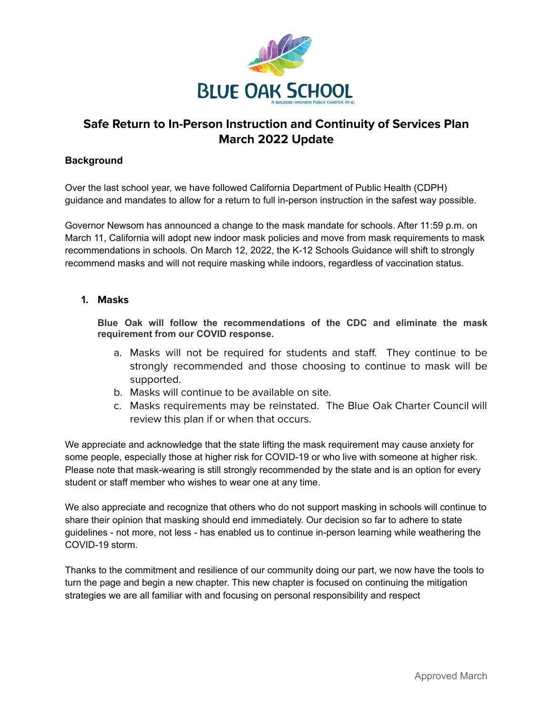

# **Safe Return to In-Person Instruction and Continuity of Services Plan March 2022 Update**

#### **Background**

Over the last school year, we have followed California Department of Public Health (CDPH) guidance and mandates to allow for a return to full in-person instruction in the safest way possible.

Governor Newsom has announced a change to the mask mandate for schools. After 11:59 p.m. on March 11, California will adopt new indoor mask policies and move from mask requirements to mask recommendations in schools. On March 12, 2022, the K-12 Schools Guidance will shift to strongly recommend masks and will not require masking while indoors, regardless of vaccination status.

#### **1. Masks**

**Blue Oak will follow the recommendations of the CDC and eliminate the mask requirement from our COVID response.**

- a. Masks will not be required for students and staff. They continue to be strongly recommended and those choosing to continue to mask will be supported.
- b. Masks will continue to be available on site.
- c. Masks requirements may be reinstated. The Blue Oak Charter Council will review this plan if or when that occurs.

We appreciate and acknowledge that the state lifting the mask requirement may cause anxiety for some people, especially those at higher risk for COVID-19 or who live with someone at higher risk. Please note that mask-wearing is still strongly recommended by the state and is an option for every student or staff member who wishes to wear one at any time.

We also appreciate and recognize that others who do not support masking in schools will continue to share their opinion that masking should end immediately. Our decision so far to adhere to state guidelines - not more, not less - has enabled us to continue in-person learning while weathering the COVID-19 storm.

Thanks to the commitment and resilience of our community doing our part, we now have the tools to turn the page and begin a new chapter. This new chapter is focused on continuing the mitigation strategies we are all familiar with and focusing on personal responsibility and respect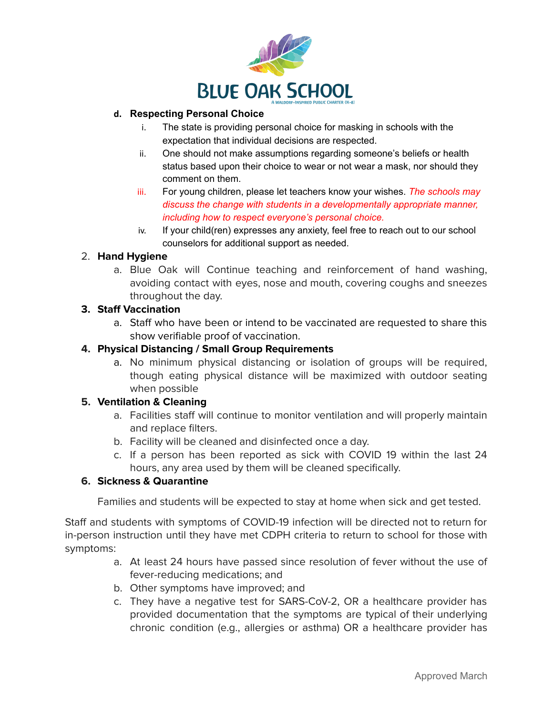

### **d. Respecting Personal Choice**

- i. The state is providing personal choice for masking in schools with the expectation that individual decisions are respected.
- ii. One should not make assumptions regarding someone's beliefs or health status based upon their choice to wear or not wear a mask, nor should they comment on them.
- iii. For young children, please let teachers know your wishes. *The schools may discuss the change with students in a developmentally appropriate manner, including how to respect everyone's personal choice.*
- iv. If your child(ren) expresses any anxiety, feel free to reach out to our school counselors for additional support as needed.

## 2. **Hand Hygiene**

a. Blue Oak will Continue teaching and reinforcement of hand washing, avoiding contact with eyes, nose and mouth, covering coughs and sneezes throughout the day.

### **3. Staff Vaccination**

a. Staff who have been or intend to be vaccinated are requested to share this show verifiable proof of vaccination.

## **4. Physical Distancing / Small Group Requirements**

a. No minimum physical distancing or isolation of groups will be required, though eating physical distance will be maximized with outdoor seating when possible

## **5. Ventilation & Cleaning**

- a. Facilities staff will continue to monitor ventilation and will properly maintain and replace filters.
- b. Facility will be cleaned and disinfected once a day.
- c. If a person has been reported as sick with COVID 19 within the last 24 hours, any area used by them will be cleaned specifically.

## **6. Sickness & Quarantine**

Families and students will be expected to stay at home when sick and get tested.

Staff and students with symptoms of COVID-19 infection will be directed not to return for in-person instruction until they have met CDPH criteria to return to school for those with symptoms:

- a. At least 24 hours have passed since resolution of fever without the use of fever-reducing medications; and
- b. Other symptoms have improved; and
- c. They have a negative test for SARS-CoV-2, OR a healthcare provider has provided documentation that the symptoms are typical of their underlying chronic condition (e.g., allergies or asthma) OR a healthcare provider has